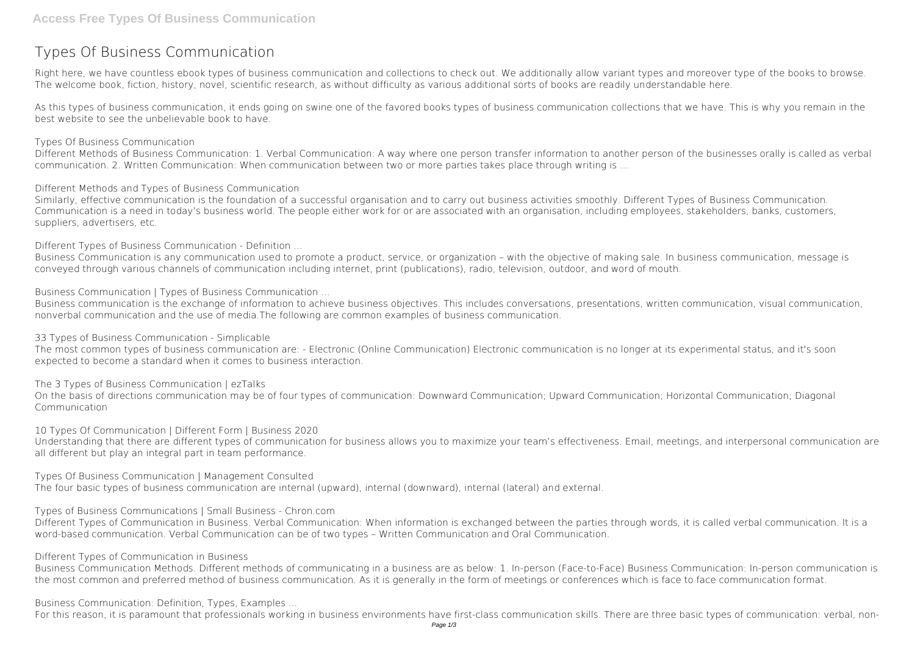## **Types Of Business Communication**

Right here, we have countless ebook **types of business communication** and collections to check out. We additionally allow variant types and moreover type of the books to browse. The welcome book, fiction, history, novel, scientific research, as without difficulty as various additional sorts of books are readily understandable here.

As this types of business communication, it ends going on swine one of the favored books types of business communication collections that we have. This is why you remain in the best website to see the unbelievable book to have.

*Types Of Business Communication*

Different Methods of Business Communication: 1. Verbal Communication: A way where one person transfer information to another person of the businesses orally is called as verbal communication. 2. Written Communication: When communication between two or more parties takes place through writing is ...

*Different Methods and Types of Business Communication*

Similarly, effective communication is the foundation of a successful organisation and to carry out business activities smoothly. Different Types of Business Communication. Communication is a need in today's business world. The people either work for or are associated with an organisation, including employees, stakeholders, banks, customers, suppliers, advertisers, etc.

*Different Types of Business Communication - Definition ...*

Business Communication is any communication used to promote a product, service, or organization – with the objective of making sale. In business communication, message is conveyed through various channels of communication including internet, print (publications), radio, television, outdoor, and word of mouth.

*Business Communication | Types of Business Communication ...*

Business communication is the exchange of information to achieve business objectives. This includes conversations, presentations, written communication, visual communication, nonverbal communication and the use of media.The following are common examples of business communication.

*33 Types of Business Communication - Simplicable*

The most common types of business communication are: - Electronic (Online Communication) Electronic communication is no longer at its experimental status, and it's soon expected to become a standard when it comes to business interaction.

*The 3 Types of Business Communication | ezTalks*

On the basis of directions communication may be of four types of communication: Downward Communication; Upward Communication; Horizontal Communication; Diagonal Communication

*10 Types Of Communication | Different Form | Business 2020* Understanding that there are different types of communication for business allows you to maximize your team's effectiveness. Email, meetings, and interpersonal communication are all different but play an integral part in team performance.

*Types Of Business Communication | Management Consulted* The four basic types of business communication are internal (upward), internal (downward), internal (lateral) and external.

*Types of Business Communications | Small Business - Chron.com*

Different Types of Communication in Business. Verbal Communication: When information is exchanged between the parties through words, it is called verbal communication. It is a word-based communication. Verbal Communication can be of two types – Written Communication and Oral Communication.

*Different Types of Communication in Business*

Business Communication Methods. Different methods of communicating in a business are as below: 1. In-person (Face-to-Face) Business Communication: In-person communication is the most common and preferred method of business communication. As it is generally in the form of meetings or conferences which is face to face communication format.

*Business Communication: Definition, Types, Examples ...*

For this reason, it is paramount that professionals working in business environments have first-class communication skills. There are three basic types of communication: verbal, non-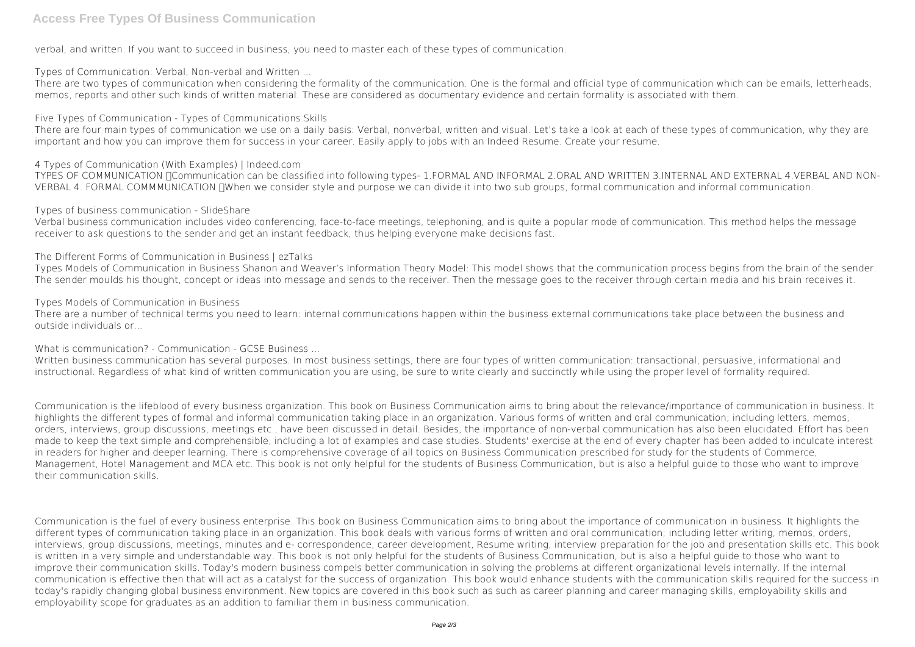## **Access Free Types Of Business Communication**

verbal, and written. If you want to succeed in business, you need to master each of these types of communication.

*Types of Communication: Verbal, Non-verbal and Written ...*

There are two types of communication when considering the formality of the communication. One is the formal and official type of communication which can be emails, letterheads, memos, reports and other such kinds of written material. These are considered as documentary evidence and certain formality is associated with them.

*Five Types of Communication - Types of Communications Skills*

There are four main types of communication we use on a daily basis: Verbal, nonverbal, written and visual. Let's take a look at each of these types of communication, why they are important and how you can improve them for success in your career. Easily apply to jobs with an Indeed Resume. Create your resume.

*4 Types of Communication (With Examples) | Indeed.com*

TYPES OF COMMUNICATION **NOmmunication can be classified into following types- 1.FORMAL AND INFORMAL 2.ORAL AND WRITTEN 3.INTERNAL AND EXTERNAL 4.VERBAL AND NON-**VERBAL 4. FORMAL COMMMUNICATION UWhen we consider style and purpose we can divide it into two sub groups, formal communication and informal communication.

*Types of business communication - SlideShare*

Written business communication has several purposes. In most business settings, there are four types of written communication: transactional, persuasive, informational and instructional. Regardless of what kind of written communication you are using, be sure to write clearly and succinctly while using the proper level of formality required.

Verbal business communication includes video conferencing, face-to-face meetings, telephoning, and is quite a popular mode of communication. This method helps the message receiver to ask questions to the sender and get an instant feedback, thus helping everyone make decisions fast.

*The Different Forms of Communication in Business | ezTalks*

Types Models of Communication in Business Shanon and Weaver's Information Theory Model: This model shows that the communication process begins from the brain of the sender. The sender moulds his thought, concept or ideas into message and sends to the receiver. Then the message goes to the receiver through certain media and his brain receives it.

*Types Models of Communication in Business*

There are a number of technical terms you need to learn: internal communications happen within the business external communications take place between the business and outside individuals or...

*What is communication? - Communication - GCSE Business ...*

Communication is the lifeblood of every business organization. This book on Business Communication aims to bring about the relevance/importance of communication in business. It highlights the different types of formal and informal communication taking place in an organization. Various forms of written and oral communication; including letters, memos, orders, interviews, group discussions, meetings etc., have been discussed in detail. Besides, the importance of non-verbal communication has also been elucidated. Effort has been made to keep the text simple and comprehensible, including a lot of examples and case studies. Students' exercise at the end of every chapter has been added to inculcate interest in readers for higher and deeper learning. There is comprehensive coverage of all topics on Business Communication prescribed for study for the students of Commerce, Management, Hotel Management and MCA etc. This book is not only helpful for the students of Business Communication, but is also a helpful guide to those who want to improve their communication skills.

Communication is the fuel of every business enterprise. This book on Business Communication aims to bring about the importance of communication in business. It highlights the different types of communication taking place in an organization. This book deals with various forms of written and oral communication; including letter writing, memos, orders, interviews, group discussions, meetings, minutes and e- correspondence, career development, Resume writing, interview preparation for the job and presentation skills etc. This book is written in a very simple and understandable way. This book is not only helpful for the students of Business Communication, but is also a helpful guide to those who want to improve their communication skills. Today's modern business compels better communication in solving the problems at different organizational levels internally. If the internal communication is effective then that will act as a catalyst for the success of organization. This book would enhance students with the communication skills required for the success in today's rapidly changing global business environment. New topics are covered in this book such as such as career planning and career managing skills, employability skills and employability scope for graduates as an addition to familiar them in business communication.